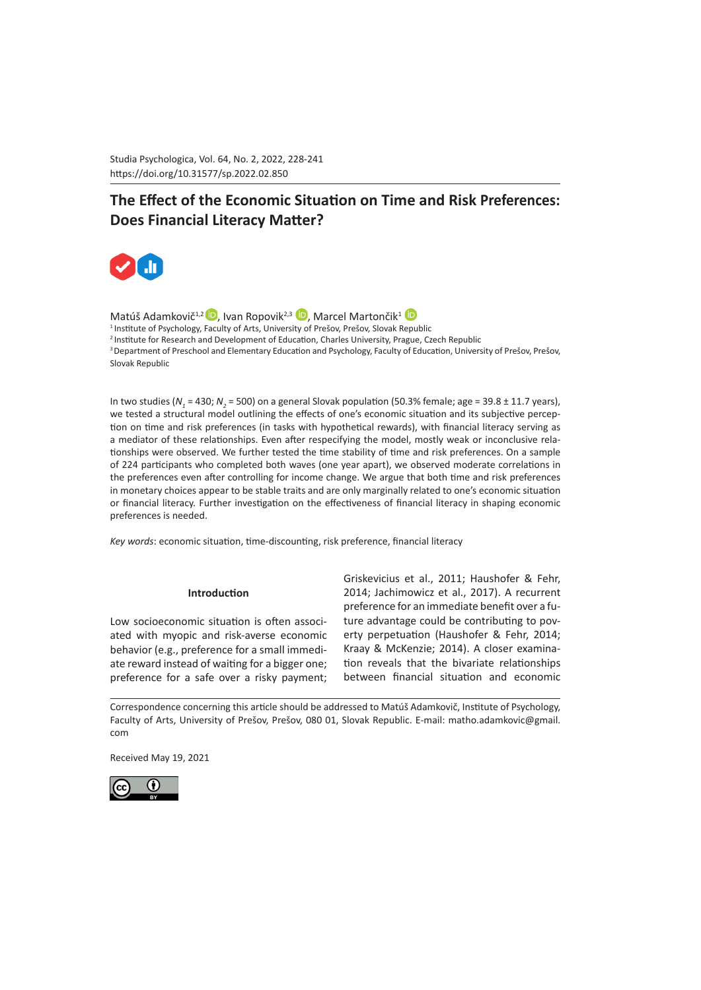Studia Psychologica, Vol. 64, No. 2, 2022, 228-241 https://doi.org/10.31577/sp.2022.02.850 

# **The Effect of the Economic Situation on Time and Risk Preferences: Does Financial Literacy Matter?**



Matúš Adamkovič<sup>1[,](https://orcid.org/0000-0001-5222-1233)2</sup>D. Ivan Ropovik<sup>2,3</sup> D. Marcel Martončik<sup>1</sup> D <sup>1</sup>Institute of Psychology, Faculty of Arts, University of Prešov, Prešov, Slovak Republic <sup>2</sup>Institute for Research and Development of Education, Charles University, Prague, Czech Republic <sup>3</sup> Department of Preschool and Elementary Education and Psychology, Faculty of Education, University of Prešov, Prešov, Slovak Republic

In two studies ( $N_{1}$  = 430;  $N_{2}$  = 500) on a general Slovak population (50.3% female; age = 39.8 ± 11.7 years), we tested a structural model outlining the effects of one's economic situation and its subjective perception on time and risk preferences (in tasks with hypothetical rewards), with financial literacy serving as a mediator of these relationships. Even after respecifying the model, mostly weak or inconclusive relationships were observed. We further tested the time stability of time and risk preferences. On a sample of 224 participants who completed both waves (one year apart), we observed moderate correlations in the preferences even after controlling for income change. We argue that both time and risk preferences in monetary choices appear to be stable traits and are only marginally related to one's economic situation or financial literacy. Further investigation on the effectiveness of financial literacy in shaping economic preferences is needed.

*Key words*: economic situation, time-discounting, risk preference, financial literacy

#### **Introduction**

Low socioeconomic situation is often associated with myopic and risk-averse economic behavior (e.g., preference for a small immediate reward instead of waiting for a bigger one; preference for a safe over a risky payment; Griskevicius et al., 2011; Haushofer & Fehr, 2014; Jachimowicz et al., 2017). A recurrent preference for an immediate benefit over a future advantage could be contributing to poverty perpetuation (Haushofer & Fehr, 2014; Kraay & McKenzie; 2014). A closer examination reveals that the bivariate relationships between financial situation and economic

Correspondence concerning this article should be addressed to Matúš Adamkovič, Institute of Psychology, Faculty of Arts, University of Prešov, Prešov, 080 01, Slovak Republic. E-mail: [matho.adamkovic@gmail.](mailto:matho.adamkovic@gmail.com) [com](mailto:matho.adamkovic@gmail.com)

Received May 19, 2021

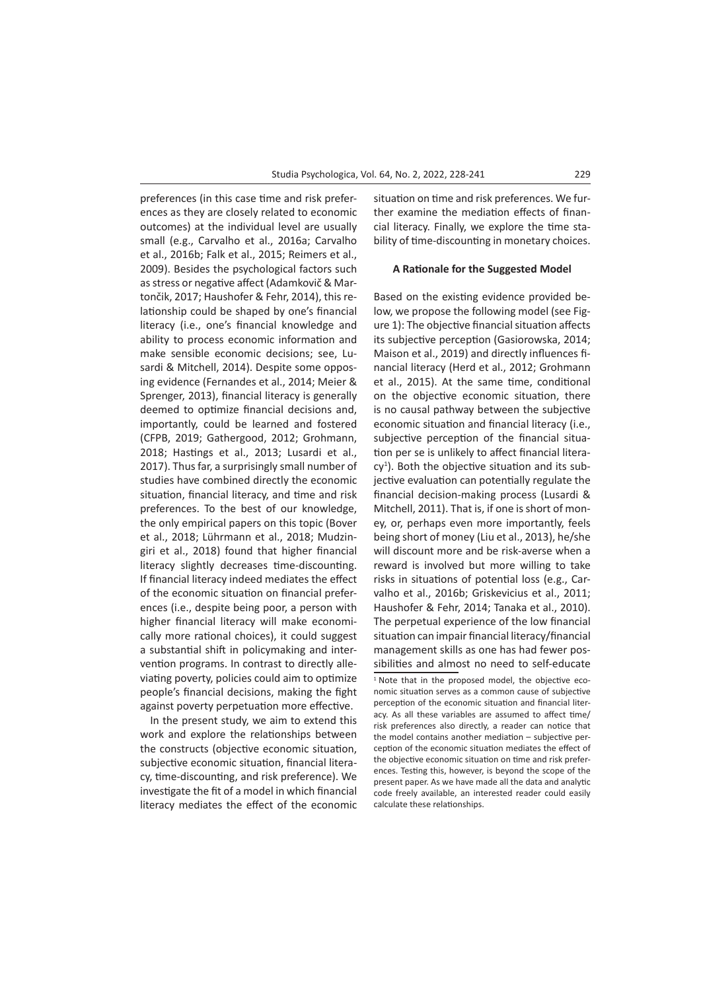preferences (in this case time and risk preferences as they are closely related to economic outcomes) at the individual level are usually small (e.g., Carvalho et al., 2016a; Carvalho et al., 2016b; Falk et al., 2015; Reimers et al., 2009). Besides the psychological factors such as stress or negative affect (Adamkovič & Martončik, 2017; Haushofer & Fehr, 2014), this relationship could be shaped by one's financial literacy (i.e., one's financial knowledge and ability to process economic information and make sensible economic decisions; see, Lusardi & Mitchell, 2014). Despite some opposing evidence (Fernandes et al., 2014; Meier & Sprenger, 2013), financial literacy is generally deemed to optimize financial decisions and, importantly, could be learned and fostered (CFPB, 2019; Gathergood, 2012; Grohmann, 2018; Hastings et al., 2013; Lusardi et al., 2017). Thus far, a surprisingly small number of studies have combined directly the economic situation, financial literacy, and time and risk preferences. To the best of our knowledge, the only empirical papers on this topic (Bover et al., 2018; Lührmann et al., 2018; Mudzingiri et al., 2018) found that higher financial literacy slightly decreases time-discounting. If financial literacy indeed mediates the effect of the economic situation on financial preferences (i.e., despite being poor, a person with higher financial literacy will make economically more rational choices), it could suggest a substantial shift in policymaking and intervention programs. In contrast to directly alleviating poverty, policies could aim to optimize people's financial decisions, making the fight against poverty perpetuation more effective.

In the present study, we aim to extend this work and explore the relationships between the constructs (objective economic situation, subjective economic situation, financial literacy, time-discounting, and risk preference). We investigate the fit of a model in which financial literacy mediates the effect of the economic situation on time and risk preferences. We further examine the mediation effects of financial literacy. Finally, we explore the time stability of time-discounting in monetary choices.

#### **A Rationale for the Suggested Model**

Based on the existing evidence provided below, we propose the following model (see Figure 1): The objective financial situation affects its subjective perception (Gasiorowska, 2014; Maison et al., 2019) and directly influences financial literacy (Herd et al., 2012; Grohmann et al., 2015). At the same time, conditional on the objective economic situation, there is no causal pathway between the subjective economic situation and financial literacy (i.e., subjective perception of the financial situation per se is unlikely to affect financial litera $cy<sup>1</sup>$ ). Both the objective situation and its subjective evaluation can potentially regulate the financial decision-making process (Lusardi & Mitchell, 2011). That is, if one is short of money, or, perhaps even more importantly, feels being short of money (Liu et al., 2013), he/she will discount more and be risk-averse when a reward is involved but more willing to take risks in situations of potential loss (e.g., Carvalho et al., 2016b; Griskevicius et al., 2011; Haushofer & Fehr, 2014; Tanaka et al., 2010). The perpetual experience of the low financial situation can impair financial literacy/financial management skills as one has had fewer possibilities and almost no need to self-educate

<sup>1</sup> Note that in the proposed model, the objective economic situation serves as a common cause of subjective perception of the economic situation and financial literacy. As all these variables are assumed to affect time/ risk preferences also directly, a reader can notice that the model contains another mediation – subjective perception of the economic situation mediates the effect of the objective economic situation on time and risk preferences. Testing this, however, is beyond the scope of the present paper. As we have made all the data and analytic code freely available, an interested reader could easily calculate these relationships.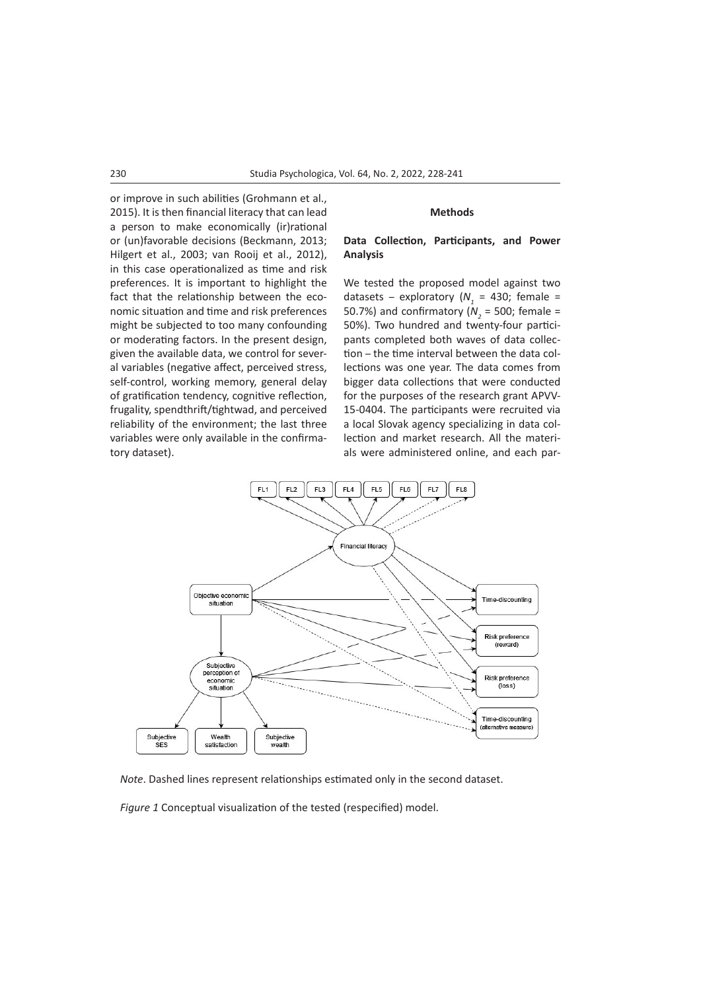or improve in such abilities (Grohmann et al., 2015). It is then financial literacy that can lead a person to make economically (ir)rational or (un)favorable decisions (Beckmann, 2013; Hilgert et al., 2003; van Rooij et al., 2012), in this case operationalized as time and risk preferences. It is important to highlight the fact that the relationship between the economic situation and time and risk preferences might be subjected to too many confounding or moderating factors. In the present design, given the available data, we control for several variables (negative affect, perceived stress, self-control, working memory, general delay of gratification tendency, cognitive reflection, frugality, spendthrift/tightwad, and perceived reliability of the environment; the last three variables were only available in the confirmatory dataset).

## **Methods**

## **Data Collection, Participants, and Power Analysis**

We tested the proposed model against two datasets – exploratory ( $N_1$  = 430; female = 50.7%) and confirmatory ( $N<sub>2</sub>$  = 500; female = 50%). Two hundred and twenty-four participants completed both waves of data collection – the time interval between the data collections was one year. The data comes from bigger data collections that were conducted for the purposes of the research grant APVV-15-0404. The participants were recruited via a local Slovak agency specializing in data collection and market research. All the materials were administered online, and each par-



*Note*. Dashed lines represent relationships estimated only in the second dataset.

*Figure 1* Conceptual visualization of the tested (respecified) model.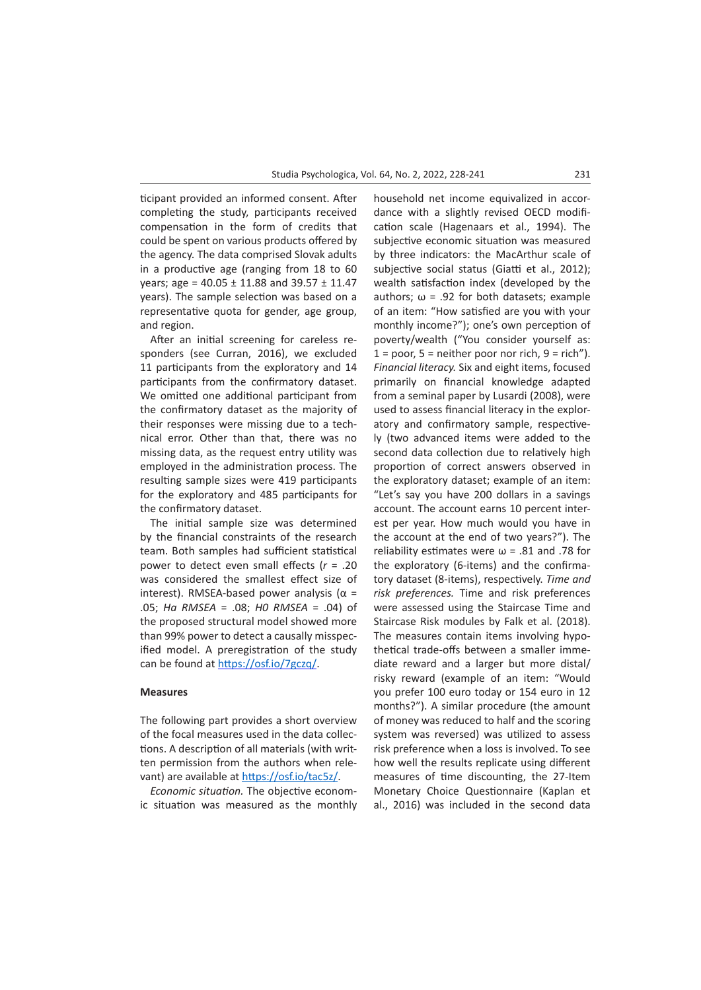ticipant provided an informed consent. After completing the study, participants received compensation in the form of credits that could be spent on various products offered by the agency. The data comprised Slovak adults in a productive age (ranging from 18 to 60 years; age =  $40.05 \pm 11.88$  and  $39.57 \pm 11.47$ years). The sample selection was based on a representative quota for gender, age group, and region.

After an initial screening for careless responders (see Curran, 2016), we excluded 11 participants from the exploratory and 14 participants from the confirmatory dataset. We omitted one additional participant from the confirmatory dataset as the majority of their responses were missing due to a technical error. Other than that, there was no missing data, as the request entry utility was employed in the administration process. The resulting sample sizes were 419 participants for the exploratory and 485 participants for the confirmatory dataset.

The initial sample size was determined by the financial constraints of the research team. Both samples had sufficient statistical power to detect even small effects (*r* = .20 was considered the smallest effect size of interest). RMSEA-based power analysis ( $\alpha$  = .05; *Ha RMSEA* = .08; *H0 RMSEA* = .04) of the proposed structural model showed more than 99% power to detect a causally misspecified model. A preregistration of the study can be found at [https://osf.io/7gczq/.](https://osf.io/7gczq/)

#### **Measures**

The following part provides a short overview of the focal measures used in the data collections. A description of all materials (with written permission from the authors when relevant) are available at <https://osf.io/tac5z/>.

*Economic situation.* The objective economic situation was measured as the monthly household net income equivalized in accordance with a slightly revised OECD modification scale (Hagenaars et al., 1994). The subjective economic situation was measured by three indicators: the MacArthur scale of subjective social status (Giatti et al., 2012); wealth satisfaction index (developed by the authors;  $\omega$  = .92 for both datasets; example of an item: "How satisfied are you with your monthly income?"); one's own perception of poverty/wealth ("You consider yourself as:  $1 =$  poor,  $5 =$  neither poor nor rich,  $9 =$  rich"). *Financial literacy.* Six and eight items, focused primarily on financial knowledge adapted from a seminal paper by Lusardi (2008), were used to assess financial literacy in the exploratory and confirmatory sample, respectively (two advanced items were added to the second data collection due to relatively high proportion of correct answers observed in the exploratory dataset; example of an item: "Let's say you have 200 dollars in a savings account. The account earns 10 percent interest per year. How much would you have in the account at the end of two years?"). The reliability estimates were  $\omega$  = .81 and .78 for the exploratory (6-items) and the confirmatory dataset (8-items), respectively. *Time and risk preferences.* Time and risk preferences were assessed using the Staircase Time and Staircase Risk modules by Falk et al. (2018). The measures contain items involving hypothetical trade-offs between a smaller immediate reward and a larger but more distal/ risky reward (example of an item: "Would you prefer 100 euro today or 154 euro in 12 months?"). A similar procedure (the amount of money was reduced to half and the scoring system was reversed) was utilized to assess risk preference when a loss is involved. To see how well the results replicate using different measures of time discounting, the 27-Item Monetary Choice Questionnaire (Kaplan et al., 2016) was included in the second data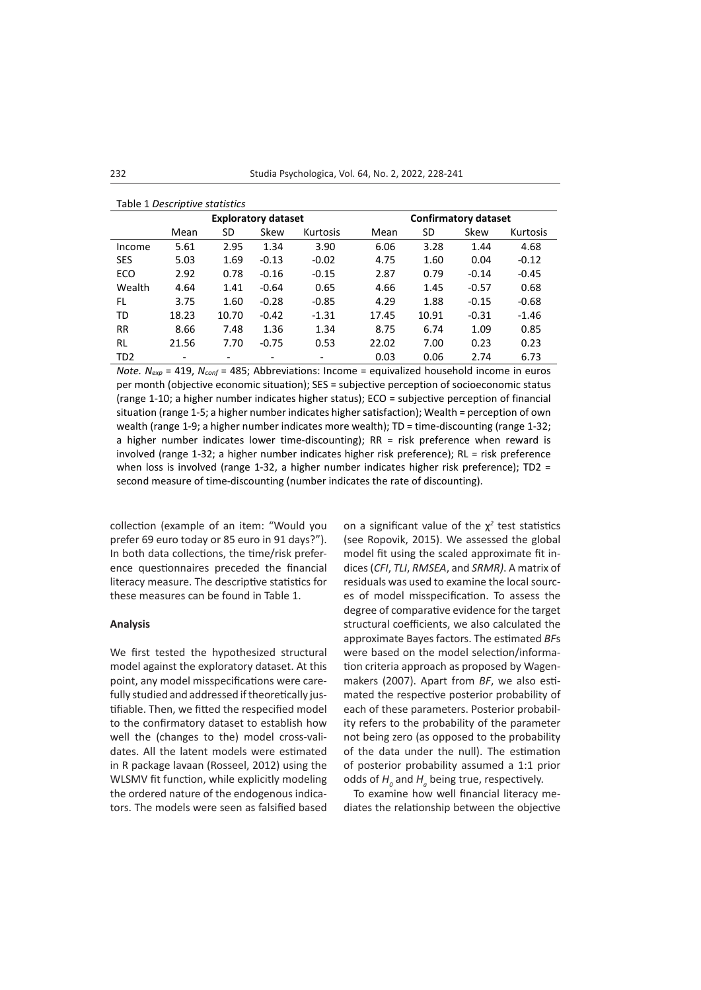|                 |                          |                          | <b>Exploratory dataset</b> |                          | <b>Confirmatory dataset</b> |       |         |          |  |  |
|-----------------|--------------------------|--------------------------|----------------------------|--------------------------|-----------------------------|-------|---------|----------|--|--|
|                 | Mean                     | SD                       | Skew                       | <b>Kurtosis</b>          | Mean                        | SD    | Skew    | Kurtosis |  |  |
| Income          | 5.61                     | 2.95                     | 1.34                       | 3.90                     | 6.06                        | 3.28  | 1.44    | 4.68     |  |  |
| <b>SES</b>      | 5.03                     | 1.69                     | $-0.13$                    | $-0.02$                  | 4.75                        | 1.60  | 0.04    | $-0.12$  |  |  |
| ECO             | 2.92                     | 0.78                     | $-0.16$                    | $-0.15$                  | 2.87                        | 0.79  | $-0.14$ | $-0.45$  |  |  |
| Wealth          | 4.64                     | 1.41                     | $-0.64$                    | 0.65                     | 4.66                        | 1.45  | $-0.57$ | 0.68     |  |  |
| FL              | 3.75                     | 1.60                     | $-0.28$                    | $-0.85$                  | 4.29                        | 1.88  | $-0.15$ | $-0.68$  |  |  |
| TD              | 18.23                    | 10.70                    | $-0.42$                    | $-1.31$                  | 17.45                       | 10.91 | $-0.31$ | $-1.46$  |  |  |
| <b>RR</b>       | 8.66                     | 7.48                     | 1.36                       | 1.34                     | 8.75                        | 6.74  | 1.09    | 0.85     |  |  |
| RL              | 21.56                    | 7.70                     | $-0.75$                    | 0.53                     | 22.02                       | 7.00  | 0.23    | 0.23     |  |  |
| TD <sub>2</sub> | $\overline{\phantom{0}}$ | $\overline{\phantom{0}}$ | $\overline{\phantom{a}}$   | $\overline{\phantom{0}}$ | 0.03                        | 0.06  | 2.74    | 6.73     |  |  |

#### Table 1 *Descriptive statistics*

*Note. N<sub>exp</sub>* = 419, *N<sub>conf</sub>* = 485; Abbreviations: Income = equivalized household income in euros per month (objective economic situation); SES = subjective perception of socioeconomic status (range 1-10; a higher number indicates higher status); ECO = subjective perception of financial situation (range 1-5; a higher number indicates higher satisfaction); Wealth = perception of own wealth (range 1-9; a higher number indicates more wealth); TD = time-discounting (range 1-32; a higher number indicates lower time-discounting); RR = risk preference when reward is involved (range 1-32; a higher number indicates higher risk preference); RL = risk preference when loss is involved (range 1-32, a higher number indicates higher risk preference); TD2 = second measure of time-discounting (number indicates the rate of discounting).

collection (example of an item: "Would you prefer 69 euro today or 85 euro in 91 days?"). In both data collections, the time/risk preference questionnaires preceded the financial literacy measure. The descriptive statistics for these measures can be found in Table 1.

#### **Analysis**

We first tested the hypothesized structural model against the exploratory dataset. At this point, any model misspecifications were carefully studied and addressed if theoretically justifiable. Then, we fitted the respecified model to the confirmatory dataset to establish how well the (changes to the) model cross-validates. All the latent models were estimated in R package lavaan (Rosseel, 2012) using the WLSMV fit function, while explicitly modeling the ordered nature of the endogenous indicators. The models were seen as falsified based on a significant value of the χ*<sup>2</sup>* test statistics (see Ropovik, 2015). We assessed the global model fit using the scaled approximate fit indices (*CFI*, *TLI*, *RMSEA*, and *SRMR)*. A matrix of residuals was used to examine the local sources of model misspecification. To assess the degree of comparative evidence for the target structural coefficients, we also calculated the approximate Bayes factors. The estimated *BF*s were based on the model selection/information criteria approach as proposed by Wagenmakers (2007). Apart from *BF*, we also estimated the respective posterior probability of each of these parameters. Posterior probability refers to the probability of the parameter not being zero (as opposed to the probability of the data under the null). The estimation of posterior probability assumed a 1:1 prior odds of  $H$ <sub>o</sub> and  $H$ <sub>a</sub> being true, respectively.

To examine how well financial literacy mediates the relationship between the objective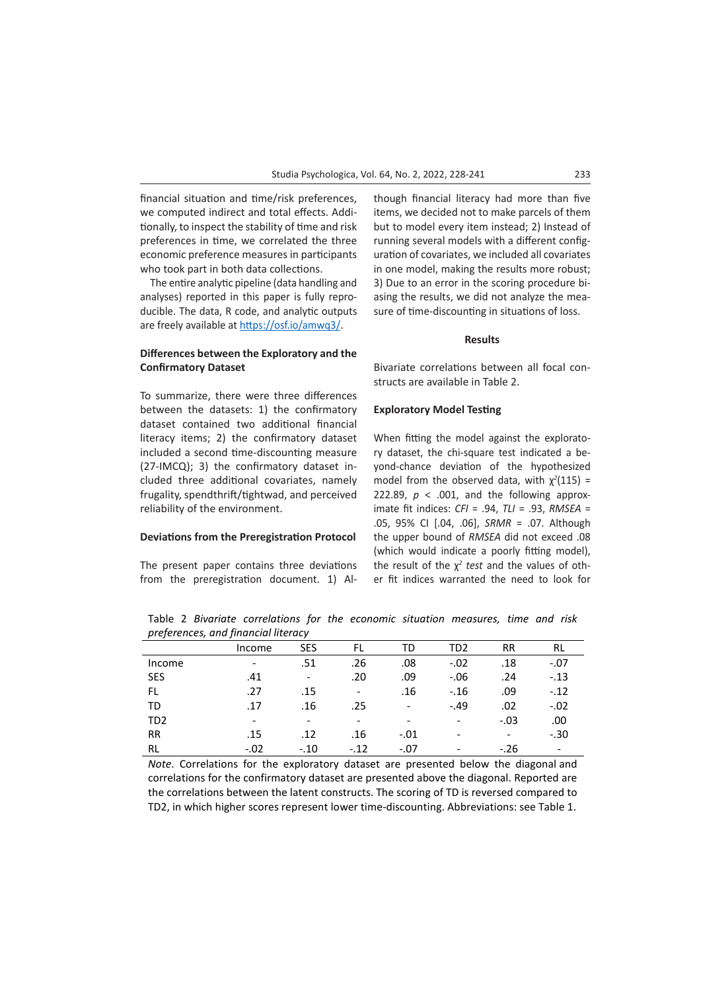financial situation and time/risk preferences, we computed indirect and total effects. [Addi](https://osf.io/pe8sh/)[tionally, to inspect the stability of time and risk](https://osf.io/pe8sh/) [preferences in time, we correlated the three](https://osf.io/pe8sh/) [economic preference measures in participants](https://osf.io/pe8sh/) [who took part in both data collections.](https://osf.io/pe8sh/) 

The entire analytic pipeline (data handling and analyses) reported in this paper is fully reproducible. The data, R code, and analytic outputs are freely available at <https://osf.io/amwq3/>.

## **Differences between the Exploratory and the Confirmatory Dataset**

To summarize, there were three differences between the datasets: 1) the confirmatory dataset contained two additional financial literacy items; 2) the confirmatory dataset included a second time-discounting measure (27-IMCQ); 3) the confirmatory dataset included three additional covariates, namely frugality, spendthrift/tightwad, and perceived reliability of the environment.

# **Deviations from the Preregistration Protocol**

The present paper contains three deviations from the preregistration document. 1) Although financial literacy had more than five items, we decided not to make parcels of them but to model every item instead; 2) Instead of running several models with a different configuration of covariates, we included all covariates in one model, making the results more robust; 3) Due to an error in the scoring procedure biasing the results, we did not analyze the measure of time-discounting in situations of loss.

#### **Results**

Bivariate correlations between all focal constructs are available in Table 2.

### **Exploratory Model Testing**

When fitting the model against the exploratory dataset, the chi-square test indicated a beyond-chance deviation of the hypothesized model from the observed data, with  $\chi^2(115)$  = 222.89,  $p < .001$ , and the following approximate fit indices: *CFI* = .94, *TLI* = .93, *RMSEA* = .05, 95% CI [.04, .06], *SRMR* = .07. Although the upper bound of *RMSEA* did not exceed .08 (which would indicate a poorly fitting model), the result of the  $\chi^2$  test and the values of other fit indices warranted the need to look for

Income SES FL TD TD2 RR RL Income - .51 .26 .08 -.02 .18 -.07 SES .41 - .20 .09 -.06 .24 -.13 FL .27 .15 - .16 -.16 .09 -.12 TD .17 .16 .25 - -.49 .02 -.02 TD2 - - - - - -.03 .00 RR .15 .12 .16 -01 - - - -30 RL -.02 -.10 -.12 -.07 - -.26 -

Table 2 *Bivariate correlations for the economic situation measures, time and risk preferences, and financial literacy*

*Note*. Correlations for the exploratory dataset are presented below the diagonal and correlations for the confirmatory dataset are presented above the diagonal. Reported are the correlations between the latent constructs. The scoring of TD is reversed compared to TD2, in which higher scores represent lower time-discounting. Abbreviations: see Table 1.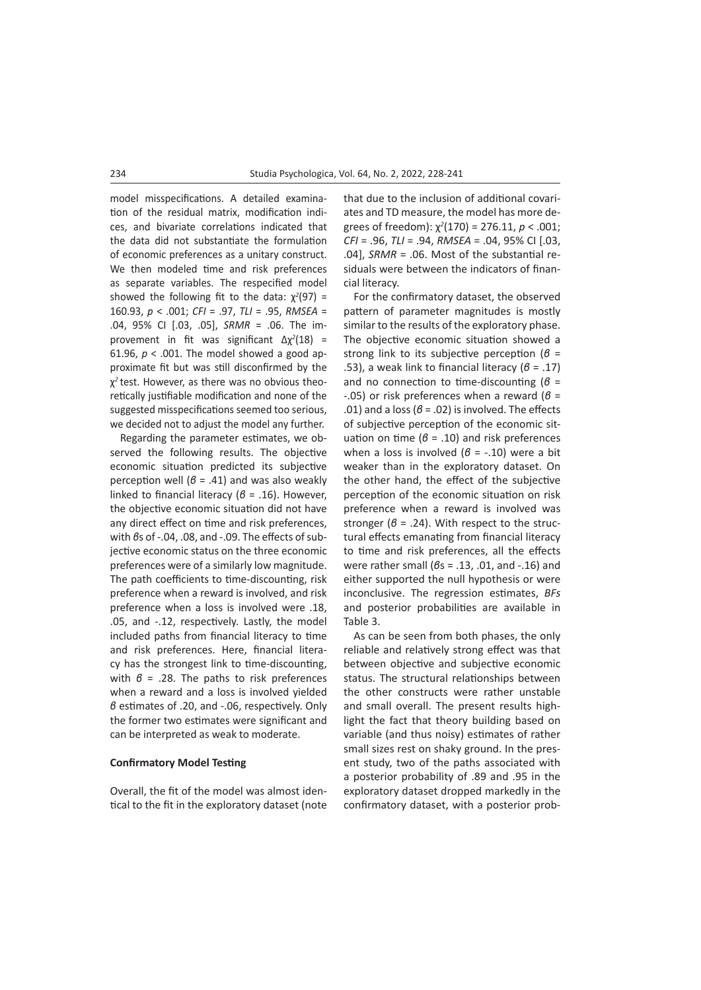model misspecifications. A detailed examination of the residual matrix, modification indices, and bivariate correlations indicated that the data did not substantiate the formulation of economic preferences as a unitary construct. We then modeled time and risk preferences as separate variables. The respecified model showed the following fit to the data:  $\chi^2(97)$  = 160.93, *p* < .001; *CFI* = .97, *TLI* = .95, *RMSEA* = .04, 95% CI [.03, .05], *SRMR* = .06. The improvement in fit was significant ∆χ*<sup>2</sup>* (18) = 61.96,  $p < .001$ . The model showed a good approximate fit but was still disconfirmed by the χ*2* test. However, as there was no obvious theoretically justifiable modification and none of the suggested misspecifications seemed too serious, we decided not to adjust the model any further.

Regarding the parameter estimates, we observed the following results. The objective economic situation predicted its subjective perception well (*β* = .41) and was also weakly linked to financial literacy (*β* = .16). However, the objective economic situation did not have any direct effect on time and risk preferences, with *βs* of -.04, .08, and -.09. The effects of subjective economic status on the three economic preferences were of a similarly low magnitude. The path coefficients to time-discounting, risk preference when a reward is involved, and risk preference when a loss is involved were .18, .05, and -.12, respectively. Lastly, the model included paths from financial literacy to time and risk preferences. Here, financial literacy has the strongest link to time-discounting, with *β* = .28. The paths to risk preferences when a reward and a loss is involved yielded *β* estimates of .20, and -.06, respectively. Only the former two estimates were significant and can be interpreted as weak to moderate.

## **Confirmatory Model Testing**

Overall, the fit of the model was almost identical to the fit in the exploratory dataset (note that due to the inclusion of additional covariates and TD measure, the model has more degrees of freedom): χ*<sup>2</sup>* (170) = 276.11, *p* < .001; *CFI* = .96, *TLI* = .94, *RMSEA* = .04, 95% CI [.03, .04], *SRMR* = .06. Most of the substantial residuals were between the indicators of financial literacy.

For the confirmatory dataset, the observed pattern of parameter magnitudes is mostly similar to the results of the exploratory phase. The objective economic situation showed a strong link to its subjective perception (*β* = .53), a weak link to financial literacy  $(6 - .17)$ and no connection to time-discounting (*β* = -.05) or risk preferences when a reward (*β* = .01) and a loss  $(6 = .02)$  is involved. The effects of subjective perception of the economic situation on time (*β* = .10) and risk preferences when a loss is involved (*β* = -.10) were a bit weaker than in the exploratory dataset. On the other hand, the effect of the subjective perception of the economic situation on risk preference when a reward is involved was stronger ( $\beta$  = .24). With respect to the structural effects emanating from financial literacy to time and risk preferences, all the effects were rather small (*β*s = .13, .01, and -.16) and either supported the null hypothesis or were inconclusive. The regression estimates, *BFs* and posterior probabilities are available in Table 3.

As can be seen from both phases, the only reliable and relatively strong effect was that between objective and subjective economic status. The structural relationships between the other constructs were rather unstable and small overall. The present results highlight the fact that theory building based on variable (and thus noisy) estimates of rather small sizes rest on shaky ground. In the present study, two of the paths associated with a posterior probability of .89 and .95 in the exploratory dataset dropped markedly in the confirmatory dataset, with a posterior prob-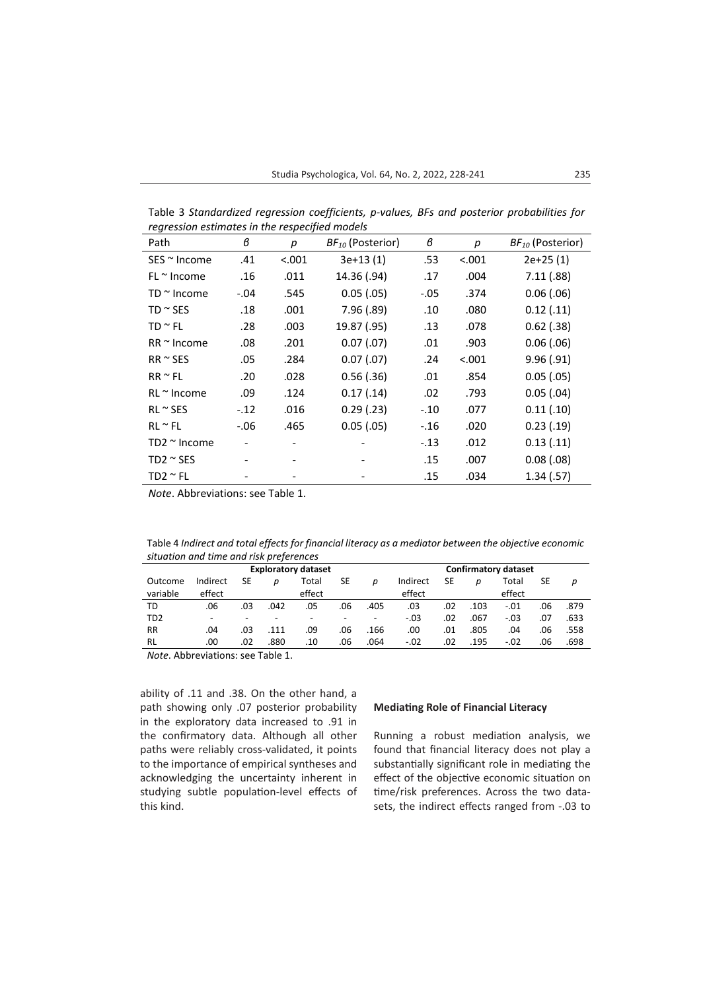Table 3 *Standardized regression coefficients, p-values, BFs and posterior probabilities for regression estimates in the respecified models*

| Path                 | в       | р      | BF <sub>10</sub> (Posterior) | в      | p      | BF <sub>10</sub> (Posterior) |
|----------------------|---------|--------|------------------------------|--------|--------|------------------------------|
| $SES \approx$ Income | .41     | < .001 | $3e+13(1)$                   | .53    | < .001 | $2e+25(1)$                   |
| $FL \approx$ Income  | .16     | .011   | 14.36 (.94)                  | .17    | .004   | 7.11(.88)                    |
| TD $\sim$ Income     | $-.04$  | .545   | 0.05(.05)                    | $-.05$ | .374   | 0.06(0.06)                   |
| TD $\sim$ SES        | .18     | .001   | 7.96(.89)                    | .10    | .080   | 0.12(.11)                    |
| $TD \cong FL$        | .28     | .003   | 19.87 (.95)                  | .13    | .078   | $0.62$ (.38)                 |
| $RR \approx Income$  | .08     | .201   | 0.07(0.07)                   | .01    | .903   | 0.06(0.06)                   |
| $RR \approx SES$     | .05     | .284   | 0.07(0.07)                   | .24    | < .001 | 9.96(.91)                    |
| $RR \approx FL$      | .20     | .028   | $0.56$ $(.36)$               | .01    | .854   | 0.05(0.05)                   |
| $RL \approx$ Income  | .09     | .124   | 0.17(0.14)                   | .02    | .793   | $0.05$ $(.04)$               |
| $RL \approx SES$     | $-.12$  | .016   | 0.29(0.23)                   | $-.10$ | .077   | 0.11(.10)                    |
| $RL \approx FL$      | $-0.06$ | .465   | 0.05(.05)                    | $-.16$ | .020   | 0.23(0.19)                   |
| $TD2 \approx$ Income |         |        |                              | $-.13$ | .012   | 0.13(.11)                    |
| $TD2 \sim$ SES       |         |        |                              | .15    | .007   | 0.08(0.08)                   |
| $TD2 \sim FL$        |         |        |                              | .15    | .034   | 1.34(.57)                    |

*Note*. Abbreviations: see Table 1.

Table 4 *Indirect and total effects for financial literacy as a mediator between the objective economic situation and time and risk preferences*

|                     |                    |                          |                          | <b>Exploratory dataset</b> |     | <b>Confirmatory dataset</b> |                    |     |      |                 |     |      |
|---------------------|--------------------|--------------------------|--------------------------|----------------------------|-----|-----------------------------|--------------------|-----|------|-----------------|-----|------|
| Outcome<br>variable | Indirect<br>effect | SE                       | D                        | Total<br>effect            | SE  | D                           | Indirect<br>effect | SE  | D    | Total<br>effect | SE  | р    |
| TD                  | .06                | .03                      | .042                     | .05                        | .06 | .405                        | .03                | .02 | .103 | $-.01$          | .06 | .879 |
| TD <sub>2</sub>     | -                  | $\overline{\phantom{a}}$ | $\overline{\phantom{a}}$ |                            |     | $\overline{\phantom{a}}$    | $-.03$             | .02 | .067 | $-.03$          | .07 | .633 |
| <b>RR</b>           | .04                | .03                      | .111                     | .09                        | .06 | .166                        | .00                | .01 | .805 | .04             | .06 | .558 |
| <b>RL</b>           | .00                | .02                      | .880                     | .10                        | .06 | .064                        | $-.02$             | .02 | .195 | $-.02$          | .06 | .698 |

*Note*. Abbreviations: see Table 1.

ability of .11 and .38. On the other hand, a path showing only .07 posterior probability in the exploratory data increased to .91 in the confirmatory data. Although all other paths were reliably cross-validated, it points to the importance of empirical syntheses and acknowledging the uncertainty inherent in studying subtle population-level effects of this kind.

## **Mediating Role of Financial Literacy**

Running a robust mediation analysis, we found that financial literacy does not play a substantially significant role in mediating the effect of the objective economic situation on time/risk preferences. Across the two datasets, the indirect effects ranged from -.03 to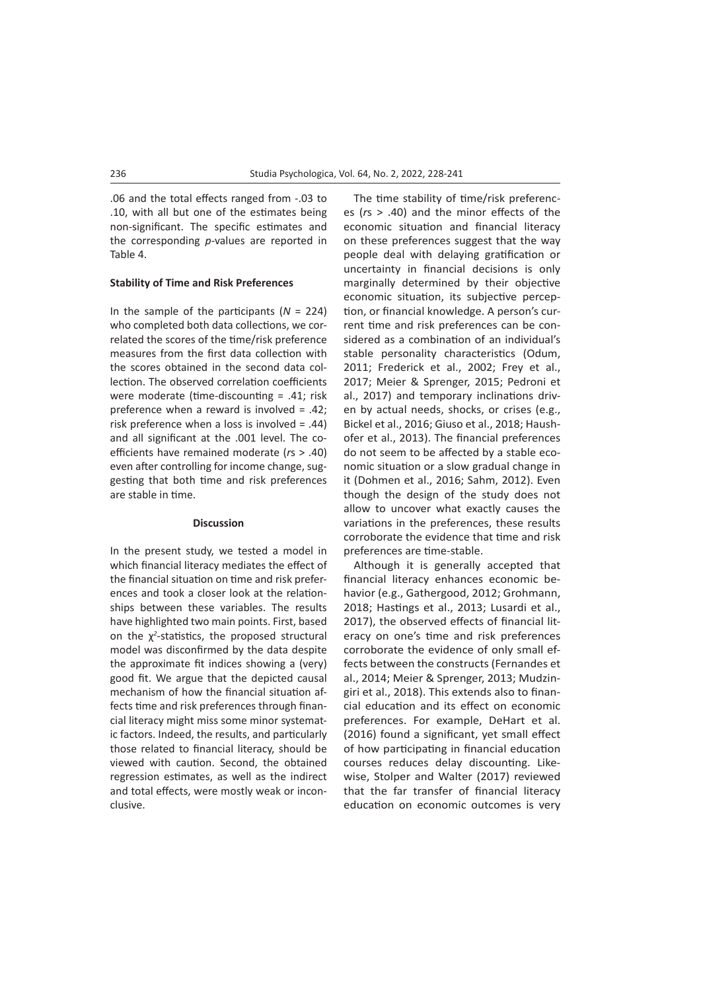.06 and the total effects ranged from -.03 to .10, with all but one of the estimates being non-significant. The specific estimates and the corresponding *p*-values are reported in Table 4.

#### **Stability of Time and Risk Preferences**

In the sample of the participants (*N* = 224) who completed both data collections, we correlated the scores of the time/risk preference measures from the first data collection with the scores obtained in the second data collection. The observed correlation coefficients were moderate (time-discounting = .41; risk preference when a reward is involved = .42; risk preference when a loss is involved = .44) and all significant at the .001 level. The coefficients have remained moderate (*r*s > .40) even after controlling for income change, suggesting that both time and risk preferences are stable in time.

#### **Discussion**

In the present study, we tested a model in which financial literacy mediates the effect of the financial situation on time and risk preferences and took a closer look at the relationships between these variables. The results have highlighted two main points. First, based on the χ*<sup>2</sup>* -statistics, the proposed structural model was disconfirmed by the data despite the approximate fit indices showing a (very) good fit. We argue that the depicted causal mechanism of how the financial situation affects time and risk preferences through financial literacy might miss some minor systematic factors. Indeed, the results, and particularly those related to financial literacy, should be viewed with caution. Second, the obtained regression estimates, as well as the indirect and total effects, were mostly weak or inconclusive.

The time stability of time/risk preferences (*r*s > .40) and the minor effects of the economic situation and financial literacy on these preferences suggest that the way people deal with delaying gratification or uncertainty in financial decisions is only marginally determined by their objective economic situation, its subjective perception, or financial knowledge. A person's current time and risk preferences can be considered as a combination of an individual's stable personality characteristics (Odum, 2011; Frederick et al., 2002; Frey et al., 2017; Meier & Sprenger, 2015; Pedroni et al., 2017) and temporary inclinations driven by actual needs, shocks, or crises (e.g., Bickel et al., 2016; Giuso et al., 2018; Haushofer et al., 2013). The financial preferences do not seem to be affected by a stable economic situation or a slow gradual change in it (Dohmen et al., 2016; Sahm, 2012). Even though the design of the study does not allow to uncover what exactly causes the variations in the preferences, these results corroborate the evidence that time and risk preferences are time-stable.

Although it is generally accepted that financial literacy enhances economic behavior (e.g., Gathergood, 2012; Grohmann, 2018; Hastings et al., 2013; Lusardi et al., 2017), the observed effects of financial literacy on one's time and risk preferences corroborate the evidence of only small effects between the constructs (Fernandes et al., 2014; Meier & Sprenger, 2013; Mudzingiri et al., 2018). This extends also to financial education and its effect on economic preferences. For example, DeHart et al. (2016) found a significant, yet small effect of how participating in financial education courses reduces delay discounting. Likewise, Stolper and Walter (2017) reviewed that the far transfer of financial literacy education on economic outcomes is very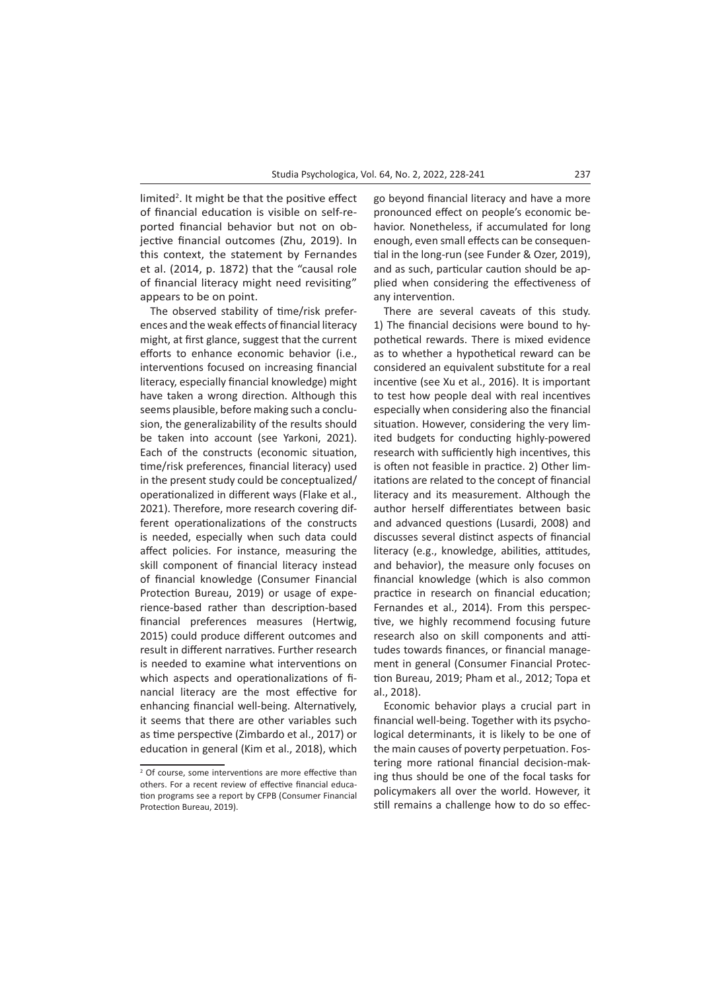limited<sup>2</sup>. It might be that the positive effect of financial education is visible on self-reported financial behavior but not on objective financial outcomes (Zhu, 2019). In this context, the statement by Fernandes et al. (2014, p. 1872) that the "causal role of financial literacy might need revisiting" appears to be on point.

The observed stability of time/risk preferences and the weak effects of financial literacy might, at first glance, suggest that the current efforts to enhance economic behavior (i.e., interventions focused on increasing financial literacy, especially financial knowledge) might have taken a wrong direction. Although this seems plausible, before making such a conclusion, the generalizability of the results should be taken into account (see Yarkoni, 2021). Each of the constructs (economic situation, time/risk preferences, financial literacy) used in the present study could be conceptualized/ operationalized in different ways (Flake et al., 2021). Therefore, more research covering different operationalizations of the constructs is needed, especially when such data could affect policies. For instance, measuring the skill component of financial literacy instead of financial knowledge (Consumer Financial Protection Bureau, 2019) or usage of experience-based rather than description-based financial preferences measures (Hertwig, 2015) could produce different outcomes and result in different narratives. Further research is needed to examine what interventions on which aspects and operationalizations of financial literacy are the most effective for enhancing financial well-being. Alternatively, it seems that there are other variables such as time perspective (Zimbardo et al., 2017) or education in general (Kim et al., 2018), which

go beyond financial literacy and have a more pronounced effect on people's economic behavior. Nonetheless, if accumulated for long enough, even small effects can be consequential in the long-run (see Funder & Ozer, 2019), and as such, particular caution should be applied when considering the effectiveness of any intervention.

There are several caveats of this study. 1) The financial decisions were bound to hypothetical rewards. There is mixed evidence as to whether a hypothetical reward can be considered an equivalent substitute for a real incentive (see Xu et al., 2016). It is important to test how people deal with real incentives especially when considering also the financial situation. However, considering the very limited budgets for conducting highly-powered research with sufficiently high incentives, this is often not feasible in practice. 2) Other limitations are related to the concept of financial literacy and its measurement. Although the author herself differentiates between basic and advanced questions (Lusardi, 2008) and discusses several distinct aspects of financial literacy (e.g., knowledge, abilities, attitudes, and behavior), the measure only focuses on financial knowledge (which is also common practice in research on financial education; Fernandes et al., 2014). From this perspective, we highly recommend focusing future research also on skill components and attitudes towards finances, or financial management in general (Consumer Financial Protection Bureau, 2019; Pham et al., 2012; Topa et al., 2018).

Economic behavior plays a crucial part in financial well-being. Together with its psychological determinants, it is likely to be one of the main causes of poverty perpetuation. Fostering more rational financial decision-making thus should be one of the focal tasks for policymakers all over the world. However, it still remains a challenge how to do so effec-

<sup>&</sup>lt;sup>2</sup> Of course, some interventions are more effective than others. For a recent review of effective financial education programs see a report by CFPB (Consumer Financial Protection Bureau, 2019).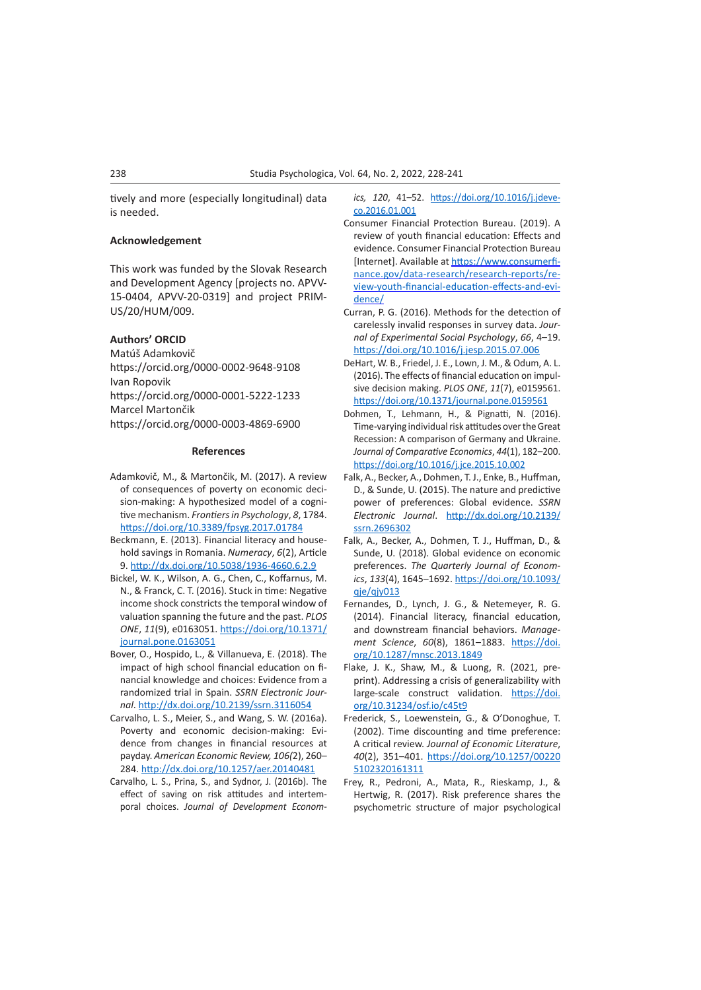tively and more (especially longitudinal) data is needed.

## **Acknowledgement**

This work was funded by the Slovak Research and Development Agency [projects no. APVV-15-0404, APVV-20-0319] and project PRIM-US/20/HUM/009.

## **Authors' ORCID**

Matúš Adamkovič https://orcid.org/0000-0002-9648-9108 Ivan Ropovik https://orcid.org/0000-0001-5222-1233 Marcel Martončik https://orcid.org/0000-0003-4869-6900

#### **References**

- Adamkovič, M., & Martončik, M. (2017). A review of consequences of poverty on economic decision-making: A hypothesized model of a cognitive mechanism. *Frontiers in Psychology*, *8*, 1784. <https://doi.org/10.3389/fpsyg.2017.01784>
- Beckmann, E. (2013). Financial literacy and household savings in Romania. *Numeracy*, *6*(2), Article 9. <http://dx.doi.org/10.5038/1936-4660.6.2.9>
- Bickel, W. K., Wilson, A. G., Chen, C., Koffarnus, M. N., & Franck, C. T. (2016). Stuck in time: Negative income shock constricts the temporal window of valuation spanning the future and the past. *PLOS ONE*, *11*(9), e0163051. [https://doi.org/10.1371/](https://doi.org/10.1371/journal.pone.0163051) [journal.pone.0163051](https://doi.org/10.1371/journal.pone.0163051)
- Bover, O., Hospido, L., & Villanueva, E. (2018). The impact of high school financial education on financial knowledge and choices: Evidence from a randomized trial in Spain. *SSRN Electronic Journal*. [http://dx.doi.org/10.2139/ssrn.3116054](https://dx.doi.org/10.2139/ssrn.3116054)
- Carvalho, L. S., Meier, S., and Wang, S. W. (2016a). Poverty and economic decision-making: Evidence from changes in financial resources at payday. *American Economic Review, 106(*2), 260– 284.<http://dx.doi.org/10.1257/aer.20140481>
- Carvalho, L. S., Prina, S., and Sydnor, J. (2016b). The effect of saving on risk attitudes and intertemporal choices. *Journal of Development Econom-*

*ics, 120*, 41–52. [https://doi.org/10.1016/j.jdeve](https://doi.org/10.1016/j.jdeveco.2016.01.001)[co.2016.01.001](https://doi.org/10.1016/j.jdeveco.2016.01.001)

- Consumer Financial Protection Bureau. (2019). A review of youth financial education: Effects and evidence. Consumer Financial Protection Bureau [Internet]. Available at [https://www.consumerfi](https://www.consumerfinance.gov/data-research/research-reports/review-youth-financial-education-effects-and-evidence/)[nance.gov/data-research/research-reports/re](https://www.consumerfinance.gov/data-research/research-reports/review-youth-financial-education-effects-and-evidence/)[view-youth-financial-education-effects-and-evi](https://www.consumerfinance.gov/data-research/research-reports/review-youth-financial-education-effects-and-evidence/)[dence/](https://www.consumerfinance.gov/data-research/research-reports/review-youth-financial-education-effects-and-evidence/)
- Curran, P. G. (2016). Methods for the detection of carelessly invalid responses in survey data. *Journal of Experimental Social Psychology*, *66*, 4–19. [https://doi.org/10.1016/j.jesp.2015.07.006](https://psycnet.apa.org/doi/10.1016/j.jesp.2015.07.006)
- DeHart, W. B., Friedel, J. E., Lown, J. M., & Odum, A. L. (2016). The effects of financial education on impulsive decision making. *PLOS ONE*, *11*(7), e0159561. <https://doi.org/10.1371/journal.pone.0159561>
- Dohmen, T., Lehmann, H., & Pignatti, N. (2016). Time-varying individual risk attitudes over the Great Recession: A comparison of Germany and Ukraine. *Journal of Comparative Economics*, *44*(1), 182–200. <https://doi.org/10.1016/j.jce.2015.10.002>
- Falk, A., Becker, A., Dohmen, T. J., Enke, B., Huffman, D., & Sunde, U. (2015). The nature and predictive power of preferences: Global evidence. *SSRN Electronic Journal*. [http://dx.doi.org/10.2139/](https://dx.doi.org/10.2139/ssrn.2696302) [ssrn.2696302](https://dx.doi.org/10.2139/ssrn.2696302)
- Falk, A., Becker, A., Dohmen, T. J., Huffman, D., & Sunde, U. (2018). Global evidence on economic preferences. *The Quarterly Journal of Economics*, *133*(4), 1645–1692. [https://doi.org/10.1093/](https://doi.org/10.1093/qje/qjy013) gje/gjy013
- Fernandes, D., Lynch, J. G., & Netemeyer, R. G. (2014). Financial literacy, financial education, and downstream financial behaviors. *Management Science*, *60*(8), 1861–1883. [https://doi.](https://doi.org/10.1287/mnsc.2013.1849) [org/10.1287/mnsc.2013.1849](https://doi.org/10.1287/mnsc.2013.1849)
- Flake, J. K., Shaw, M., & Luong, R. (2021, preprint). Addressing a crisis of generalizability with large-scale construct validation. [https://doi.](https://doi.org/10.31234/osf.io/c45t9) [org/10.31234/osf.io/c45t9](https://doi.org/10.31234/osf.io/c45t9)
- Frederick, S., Loewenstein, G., & O'Donoghue, T. (2002). Time discounting and time preference: A critical review. *Journal of Economic Literature*, *40*(2), 351–401. https://doi.org*/*[10.1257/00220](https://doi.org/10.1257/002205102320161311) [5102320161311](https://doi.org/10.1257/002205102320161311)
- Frey, R., Pedroni, A., Mata, R., Rieskamp, J., & Hertwig, R. (2017). Risk preference shares the psychometric structure of major psychological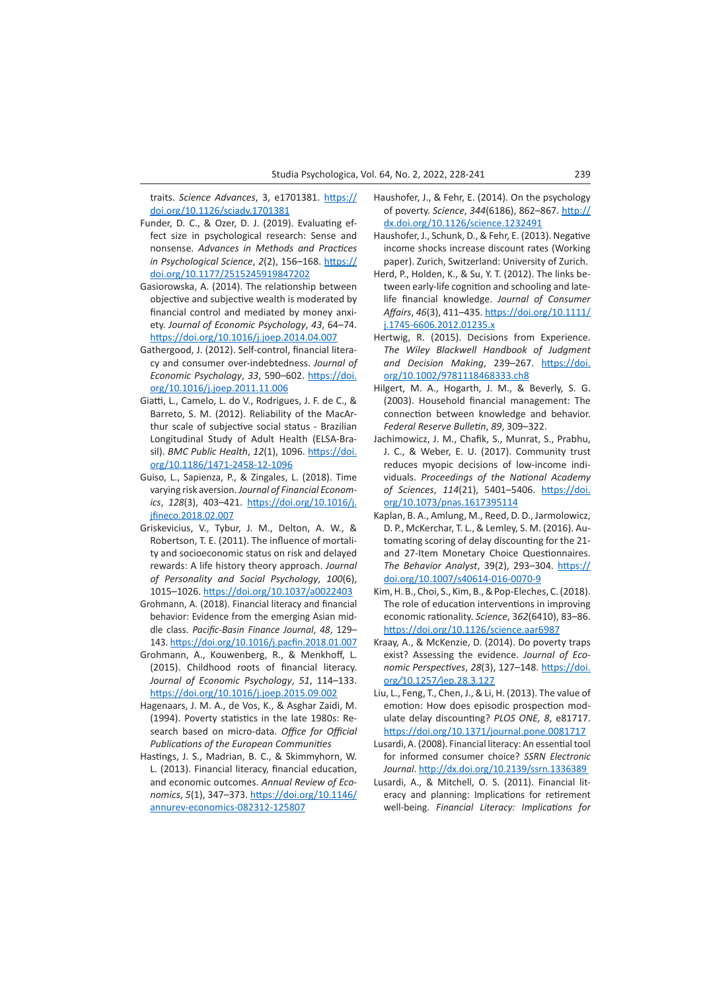traits. *Science Advances*, 3, e1701381. [https://](https://doi.org/10.1126/sciadv.1701381) [doi.org/10.1126/sciadv.1701381](https://doi.org/10.1126/sciadv.1701381)

- Funder, D. C., & Ozer, D. J. (2019). Evaluating effect size in psychological research: Sense and nonsense. *Advances in Methods and Practices in Psychological Science*, *2*(2), 156–168. [https://](https://doi.org/10.1177%2F2515245919847202) [doi.org/10.1177/2515245919847202](https://doi.org/10.1177%2F2515245919847202)
- Gasiorowska, A. (2014). The relationship between objective and subjective wealth is moderated by financial control and mediated by money anxiety. *Journal of Economic Psychology*, *43*, 64–74. <https://doi.org/10.1016/j.joep.2014.04.007>
- Gathergood, J. (2012). Self-control, financial literacy and consumer over-indebtedness. *Journal of Economic Psychology*, *33*, 590–602. [https://doi.](https://psycnet.apa.org/doi/10.1016/j.joep.2011.11.006) [org/10.1016/j.joep.2011.11.006](https://psycnet.apa.org/doi/10.1016/j.joep.2011.11.006)
- Giatti, L., Camelo, L. do V., Rodrigues, J. F. de C., & Barreto, S. M. (2012). Reliability of the MacArthur scale of subjective social status - Brazilian Longitudinal Study of Adult Health (ELSA-Brasil). *BMC Public Health*, *12*(1), 1096. [https://doi.](https://doi.org/10.1186/1471-2458-12-1096) [org/10.1186/1471-2458-12-1096](https://doi.org/10.1186/1471-2458-12-1096)
- Guiso, L., Sapienza, P., & Zingales, L. (2018). Time varying risk aversion. *Journal of Financial Economics*, *128*(3), 403–421. [https://doi.org/10.1016/j.](https://doi.org/10.1016/j.jfineco.2018.02.007) [jfineco.2018.02.007](https://doi.org/10.1016/j.jfineco.2018.02.007)
- Griskevicius, V., Tybur, J. M., Delton, A. W., & Robertson, T. E. (2011). The influence of mortality and socioeconomic status on risk and delayed rewards: A life history theory approach. *Journal of Personality and Social Psychology*, *100*(6), 1015–1026. [https://doi.org/10.1037/a0022403](https://psycnet.apa.org/doi/10.1037/a0022403)
- Grohmann, A. (2018). Financial literacy and financial behavior: Evidence from the emerging Asian middle class. *Pacific-Basin Finance Journal*, *48*, 129– 143. <https://doi.org/10.1016/j.pacfin.2018.01.007>
- Grohmann, A., Kouwenberg, R., & Menkhoff, L. (2015). Childhood roots of financial literacy. *Journal of Economic Psychology*, *51*, 114–133. <https://doi.org/10.1016/j.joep.2015.09.002>
- Hagenaars, J. M. A., de Vos, K., & Asghar Zaidi, M. (1994). Poverty statistics in the late 1980s: Research based on micro-data. *Office for Official Publications of the European Communities*
- Hastings, J. S., Madrian, B. C., & Skimmyhorn, W. L. (2013). Financial literacy, financial education, and economic outcomes. *Annual Review of Economics*, *5*(1), 347–373. [https://doi.org/10.1146/](https://doi.org/10.1146/annurev-economics-082312-125807) [annurev-economics-082312-125807](https://doi.org/10.1146/annurev-economics-082312-125807)
- Haushofer, J., & Fehr, E. (2014). On the psychology of poverty. *Science*, *344*(6186), 862–867. [http://](http://dx.doi.org/10.1126/science.1232491) [dx.doi.org/10.1126/science.1232491](http://dx.doi.org/10.1126/science.1232491)
- Haushofer, J., Schunk, D., & Fehr, E. (2013). Negative income shocks increase discount rates (Working paper). Zurich, Switzerland: University of Zurich.
- Herd, P., Holden, K., & Su, Y. T. (2012). The links between early-life cognition and schooling and latelife financial knowledge. *Journal of Consumer Affairs*, *46*(3), 411–435. [https://doi.org/10.1111/](https://doi.org/10.1111/j.1745-6606.2012.01235.x) [j.1745-6606.2012.01235.x](https://doi.org/10.1111/j.1745-6606.2012.01235.x)
- Hertwig, R. (2015). Decisions from Experience. *The Wiley Blackwell Handbook of Judgment and Decision Making*, 239–267. [https://doi.](https://doi.org/10.1002/9781118468333.ch8) [org/10.1002/9781118468333.ch8](https://doi.org/10.1002/9781118468333.ch8)
- Hilgert, M. A., Hogarth, J. M., & Beverly, S. G. (2003). Household financial management: The connection between knowledge and behavior. *Federal Reserve Bulletin*, *89*, 309–322.
- Jachimowicz, J. M., Chafik, S., Munrat, S., Prabhu, J. C., & Weber, E. U. (2017). Community trust reduces myopic decisions of low-income individuals. *Proceedings of the National Academy of Sciences*, *114*(21), 5401–5406. [https://doi.](https://doi.org/10.1073/pnas.1617395114) [org/10.1073/pnas.1617395114](https://doi.org/10.1073/pnas.1617395114)
- Kaplan, B. A., Amlung, M., Reed, D. D., Jarmolowicz, D. P., McKerchar, T. L., & Lemley, S. M. (2016). Automating scoring of delay discounting for the 21 and 27-Item Monetary Choice Questionnaires. *The Behavior Analyst*, 39(2), 293–304. [https://](https://doi.org/10.1007/s40614-016-0070-9) [doi.org/10.1007/s40614-016-0070-9](https://doi.org/10.1007/s40614-016-0070-9)
- Kim, H. B., Choi, S., Kim, B., & Pop-Eleches, C. (2018). The role of education interventions in improving economic rationality. *Science*, 3*62*(6410), 83–86. <https://doi.org/10.1126/science.aar6987>
- Kraay, A., & McKenzie, D. (2014). Do poverty traps exist? Assessing the evidence. *Journal of Economic Perspectives*, *28*(3), 127–148. [https://doi.](https://doi.org/10.1257/jep.28.3.127) org*/*10.1257*/*jep*.*[28.3.127](https://doi.org/10.1257/jep.28.3.127)
- Liu, L., Feng, T., Chen, J., & Li, H. (2013). The value of emotion: How does episodic prospection modulate delay discounting? *PLOS ONE, 8*, e81717. <https://doi.org/10.1371/journal.pone.0081717>
- Lusardi, A. (2008). Financial literacy: An essential tool for informed consumer choice? *SSRN Electronic Journal*. [http://dx.doi.org/10.2139/ssrn.1336389](https://dx.doi.org/10.2139/ssrn.1336389)
- Lusardi, A., & Mitchell, O. S. (2011). Financial literacy and planning: Implications for retirement well-being. *Financial Literacy: Implications for*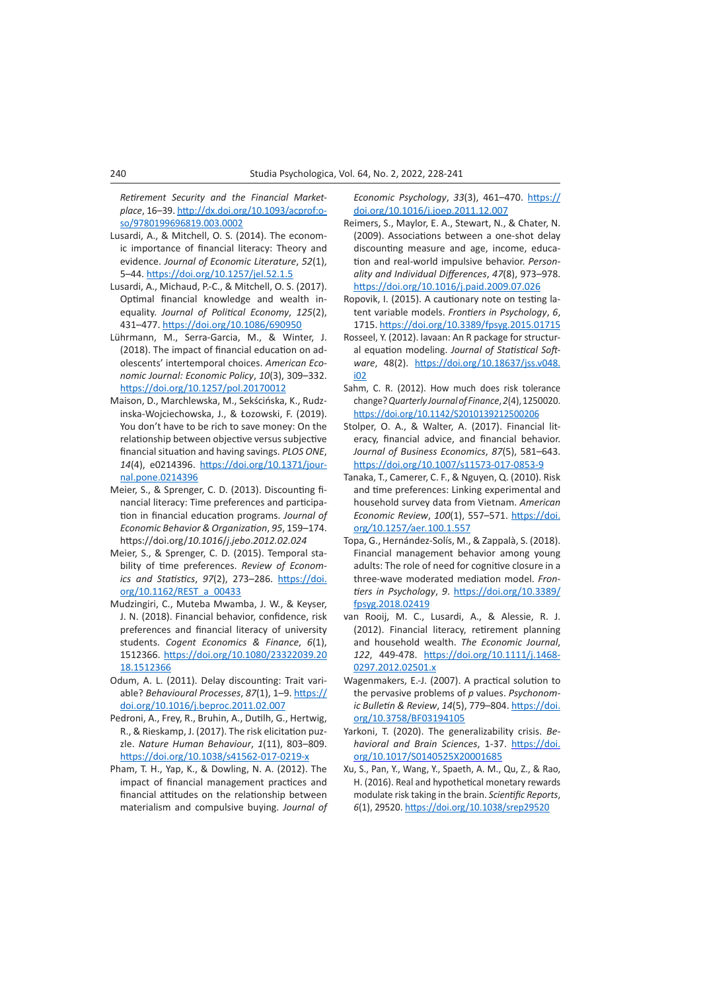*Retirement Security and the Financial Marketplace*, 16–39. [http://dx.doi.org/10.1093/acprof:o](http://dx.doi.org/10.1093/acprof:oso/9780199696819.003.0002)[so/9780199696819.003.0002](http://dx.doi.org/10.1093/acprof:oso/9780199696819.003.0002)

- Lusardi, A., & Mitchell, O. S. (2014). The economic importance of financial literacy: Theory and evidence. *Journal of Economic Literature*, *52*(1), 5–44. <https://doi.org/10.1257/jel.52.1.5>
- Lusardi, A., Michaud, P.-C., & Mitchell, O. S. (2017). Optimal financial knowledge and wealth inequality. *Journal of Political Economy*, *125*(2), 431–477.<https://doi.org/10.1086/690950>
- Lührmann, M., Serra-Garcia, M., & Winter, J. (2018). The impact of financial education on adolescents' intertemporal choices. *American Economic Journal: Economic Policy*, *10*(3), 309–332. <https://doi.org/10.1257/pol.20170012>
- Maison, D., Marchlewska, M., Sekścińska, K., Rudzinska-Wojciechowska, J., & Łozowski, F. (2019). You don't have to be rich to save money: On the relationship between objective versus subjective financial situation and having savings. *PLOS ONE*, *14*(4), e0214396. [https://doi.org/10.1371/jour](https://doi.org/10.1371/journal.pone.0214396)[nal.pone.0214396](https://doi.org/10.1371/journal.pone.0214396)
- Meier, S., & Sprenger, C. D. (2013). Discounting financial literacy: Time preferences and participation in financial education programs. *Journal of Economic Behavior & Organization*, *95*, 159–174. https://doi.org/*10.1016*/*j*.*jebo*.*2012.02.024*
- Meier, S., & Sprenger, C. D. (2015). Temporal stability of time preferences. *Review of Economics and Statistics*, *97*(2), 273–286. [https://doi.](https://doi.org/10.1162/REST_a_00433) [org/10.1162/REST\\_a\\_00433](https://doi.org/10.1162/REST_a_00433)
- Mudzingiri, C., Muteba Mwamba, J. W., & Keyser, J. N. (2018). Financial behavior, confidence, risk preferences and financial literacy of university students. *Cogent Economics & Finance*, *6*(1), 1512366. [https://doi.org/10.1080/23322039.20](https://doi.org/10.1080/23322039.2018.1512366) [18.1512366](https://doi.org/10.1080/23322039.2018.1512366)
- Odum, A. L. (2011). Delay discounting: Trait variable? *Behavioural Processes*, *87*(1), 1–9. [https://](https://doi.org/10.1016/j.beproc.2011.02.007) [doi.org/10.1016/j.beproc.2011.02.007](https://doi.org/10.1016/j.beproc.2011.02.007)
- Pedroni, A., Frey, R., Bruhin, A., Dutilh, G., Hertwig, R., & Rieskamp, J. (2017). The risk elicitation puzzle. *Nature Human Behaviour*, *1*(11), 803–809. <https://doi.org/10.1038/s41562-017-0219-x>
- Pham, T. H., Yap, K., & Dowling, N. A. (2012). The impact of financial management practices and financial attitudes on the relationship between materialism and compulsive buying. *Journal of*

*Economic Psychology*, *33*(3), 461–470. [https://](https://doi.org/10.1016/j.joep.2011.12.007) [doi.org/10.1016/j.joep.2011.12.007](https://doi.org/10.1016/j.joep.2011.12.007)

- Reimers, S., Maylor, E. A., Stewart, N., & Chater, N. (2009). Associations between a one-shot delay discounting measure and age, income, education and real-world impulsive behavior. *Personality and Individual Differences*, *47*(8), 973–978. <https://doi.org/10.1016/j.paid.2009.07.026>
- Ropovik, I. (2015). A cautionary note on testing latent variable models. *Frontiers in Psychology*, *6*, 1715. <https://doi.org/10.3389/fpsyg.2015.01715>
- Rosseel, Y. (2012). lavaan: An R package for structural equation modeling. *Journal of Statistical Software*, 48(2). [https://doi.org/10.18637/jss.v048.](https://doi.org/10.18637/jss.v048.i02) [i02](https://doi.org/10.18637/jss.v048.i02)
- Sahm, C. R. (2012). How much does risk tolerance change? *Quarterly Journal of Finance*, *2*(4), 1250020. <https://doi.org/10.1142/S2010139212500206>
- Stolper, O. A., & Walter, A. (2017). Financial literacy, financial advice, and financial behavior. *Journal of Business Economics*, *87*(5), 581–643. <https://doi.org/10.1007/s11573-017-0853-9>
- Tanaka, T., Camerer, C. F., & Nguyen, Q. (2010). Risk and time preferences: Linking experimental and household survey data from Vietnam. *American Economic Review*, *100*(1), 557–571. [https://doi.](https://doi.org/10.1257/aer.100.1.557) org*/*10.1257*/*aer*.*[100.1.557](https://doi.org/10.1257/aer.100.1.557)
- Topa, G., Hernández-Solís, M., & Zappalà, S. (2018). Financial management behavior among young adults: The role of need for cognitive closure in a three-wave moderated mediation model. *Frontiers in Psychology*, *9*. [https://doi.org/10.3389/](https://doi.org/10.3389/fpsyg.2018.02419) [fpsyg.2018.02419](https://doi.org/10.3389/fpsyg.2018.02419)
- van Rooij, M. C., Lusardi, A., & Alessie, R. J. (2012). Financial literacy, retirement planning and household wealth. *The Economic Journal*, *122*, 449-478. [https://doi.org/10.1111/j.1468-](https://doi.org/10.1111/j.1468-0297.2012.02501.x) [0297.2012.02501.x](https://doi.org/10.1111/j.1468-0297.2012.02501.x)
- Wagenmakers, E.-J. (2007). A practical solution to the pervasive problems of *p* values. *Psychonomic Bulletin & Review*, *14*(5), 779–804. [https://doi.](https://doi.org/10.3758/BF03194105) [org/10.3758/BF03194105](https://doi.org/10.3758/BF03194105)
- Yarkoni, T. (2020). The generalizability crisis. *Behavioral and Brain Sciences*, 1-37. [https://doi.](https://doi.org/10.1017/S0140525X20001685) [org/10.1017/S0140525X20001685](https://doi.org/10.1017/S0140525X20001685)
- Xu, S., Pan, Y., Wang, Y., Spaeth, A. M., Qu, Z., & Rao, H. (2016). Real and hypothetical monetary rewards modulate risk taking in the brain. *Scientific Reports*, *6*(1), 29520.<https://doi.org/10.1038/srep29520>